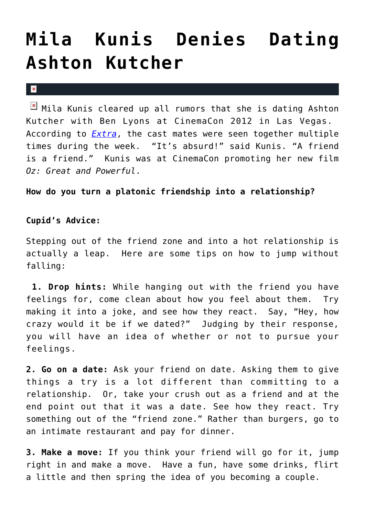## **[Mila Kunis Denies Dating](https://cupidspulse.com/30722/mila-kunis-denies-dating-ashton-kutcher/) [Ashton Kutcher](https://cupidspulse.com/30722/mila-kunis-denies-dating-ashton-kutcher/)**

## $\vert \mathbf{x} \vert$

 $\boxed{\times}$  Mila Kunis cleared up all rumors that she is dating Ashton Kutcher with Ben Lyons at CinemaCon 2012 in Las Vegas. According to *[Extra](http://extratv.com)*, the cast mates were seen together multiple times during the week. "It's absurd!" said Kunis. "A friend is a friend." Kunis was at CinemaCon promoting her new film *Oz: Great and Powerful*.

## **How do you turn a platonic friendship into a relationship?**

## **Cupid's Advice:**

Stepping out of the friend zone and into a hot relationship is actually a leap. Here are some tips on how to jump without falling:

**1. Drop hints:** While hanging out with the friend you have feelings for, come clean about how you feel about them. Try making it into a joke, and see how they react. Say, "Hey, how crazy would it be if we dated?" Judging by their response, you will have an idea of whether or not to pursue your feelings.

**2. Go on a date:** Ask your friend on date. Asking them to give things a try is a lot different than committing to a relationship. Or, take your crush out as a friend and at the end point out that it was a date. See how they react. Try something out of the "friend zone." Rather than burgers, go to an intimate restaurant and pay for dinner.

**3. Make a move:** If you think your friend will go for it, jump right in and make a move. Have a fun, have some drinks, flirt a little and then spring the idea of you becoming a couple.